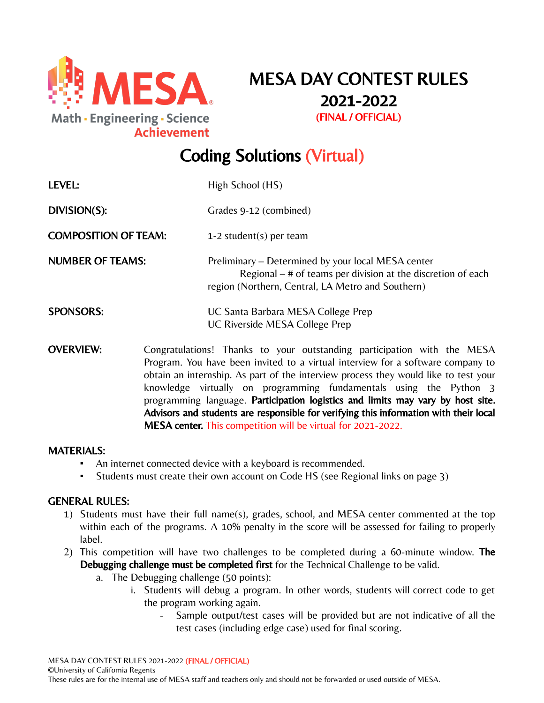

MESA DAY CONTEST RULES 2021-2022 (FINAL / OFFICIAL)

# Coding Solutions (Virtual)

| <b>LEVEL:</b>               | High School (HS)                                                                                                                                                                                                                                                                                                        |
|-----------------------------|-------------------------------------------------------------------------------------------------------------------------------------------------------------------------------------------------------------------------------------------------------------------------------------------------------------------------|
| DIVISION(S):                | Grades 9-12 (combined)                                                                                                                                                                                                                                                                                                  |
| <b>COMPOSITION OF TEAM:</b> | 1-2 student(s) per team                                                                                                                                                                                                                                                                                                 |
| <b>NUMBER OF TEAMS:</b>     | Preliminary – Determined by your local MESA center<br>Regional $-$ # of teams per division at the discretion of each<br>region (Northern, Central, LA Metro and Southern)                                                                                                                                               |
| <b>SPONSORS:</b>            | UC Santa Barbara MESA College Prep<br>UC Riverside MESA College Prep                                                                                                                                                                                                                                                    |
| <b>OVERVIEW:</b>            | Congratulations! Thanks to your outstanding participation with the MESA<br>Program. You have been invited to a virtual interview for a software company to<br>obtain an internship. As part of the interview process they would like to test your<br>knowledge virtually on programming fundamentals using the Python 3 |

programming language. Participation logistics and limits may vary by host site. Advisors and students are responsible for verifying this information with their local MESA center. This competition will be virtual for 2021-2022.

### MATERIALS:

- An internet connected device with a keyboard is recommended.
- Students must create their own account on Code HS (see Regional links on page 3)

#### GENERAL RULES:

- 1) Students must have their full name(s), grades, school, and MESA center commented at the top within each of the programs. A 10% penalty in the score will be assessed for failing to properly label.
- 2) This competition will have two challenges to be completed during a 60-minute window. The Debugging challenge must be completed first for the Technical Challenge to be valid.
	- a. The Debugging challenge (50 points):
		- i. Students will debug a program. In other words, students will correct code to get the program working again.
			- Sample output/test cases will be provided but are not indicative of all the test cases (including edge case) used for final scoring.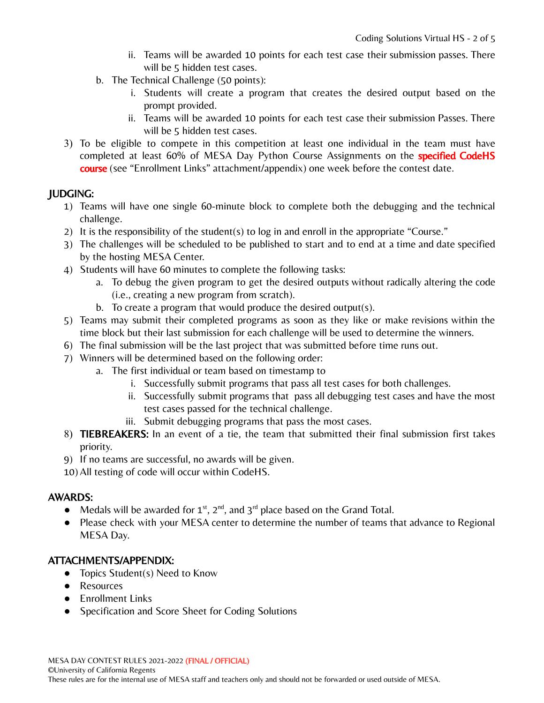- ii. Teams will be awarded 10 points for each test case their submission passes. There will be 5 hidden test cases.
- b. The Technical Challenge (50 points):
	- i. Students will create a program that creates the desired output based on the prompt provided.
	- ii. Teams will be awarded 10 points for each test case their submission Passes. There will be 5 hidden test cases.
- 3) To be eligible to compete in this competition at least one individual in the team must have completed at least 60% of MESA Day Python Course Assignments on the **specified CodeHS** course (see "Enrollment Links" attachment/appendix) one week before the contest date.

# JUDGING:

- 1) Teams will have one single 60-minute block to complete both the debugging and the technical challenge.
- 2) It is the responsibility of the student(s) to log in and enroll in the appropriate "Course."
- 3) The challenges will be scheduled to be published to start and to end at a time and date specified by the hosting MESA Center.
- 4) Students will have 60 minutes to complete the following tasks:
	- a. To debug the given program to get the desired outputs without radically altering the code (i.e., creating a new program from scratch).
	- b. To create a program that would produce the desired output(s).
- 5) Teams may submit their completed programs as soon as they like or make revisions within the time block but their last submission for each challenge will be used to determine the winners.
- 6) The final submission will be the last project that was submitted before time runs out.
- 7) Winners will be determined based on the following order:
	- a. The first individual or team based on timestamp to
		- i. Successfully submit programs that pass all test cases for both challenges.
		- ii. Successfully submit programs that pass all debugging test cases and have the most test cases passed for the technical challenge.
		- iii. Submit debugging programs that pass the most cases.
- 8) TIEBREAKERS: In an event of a tie, the team that submitted their final submission first takes priority.
- 9) If no teams are successful, no awards will be given.
- 10) All testing of code will occur within CodeHS.

# AWARDS:

- Medals will be awarded for  $1^{st}$ ,  $2^{nd}$ , and  $3^{rd}$  place based on the Grand Total.
- Please check with your MESA center to determine the number of teams that advance to Regional MESA Day.

# ATTACHMENTS/APPENDIX:

- Topics Student(s) Need to Know
- Resources
- Enrollment Links
- Specification and Score Sheet for Coding Solutions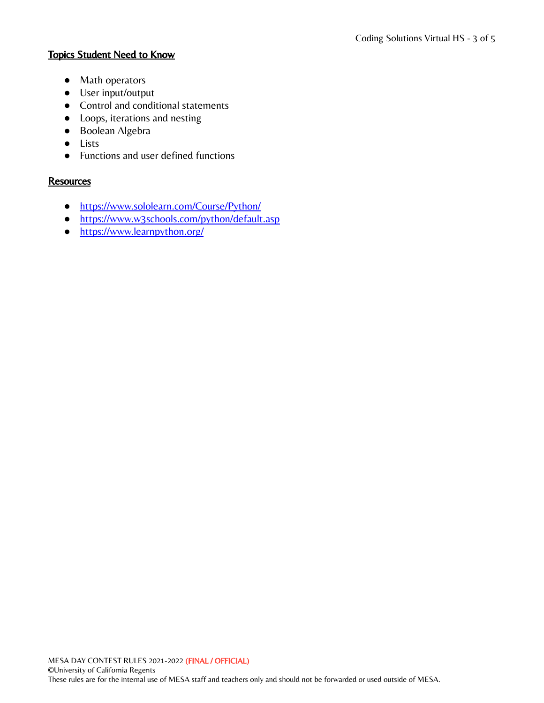## Topics Student Need to Know

- Math operators
- User input/output
- Control and conditional statements
- Loops, iterations and nesting
- Boolean Algebra
- Lists
- Functions and user defined functions

## **Resources**

- <https://www.sololearn.com/Course/Python/>
- <https://www.w3schools.com/python/default.asp>
- <https://www.learnpython.org/>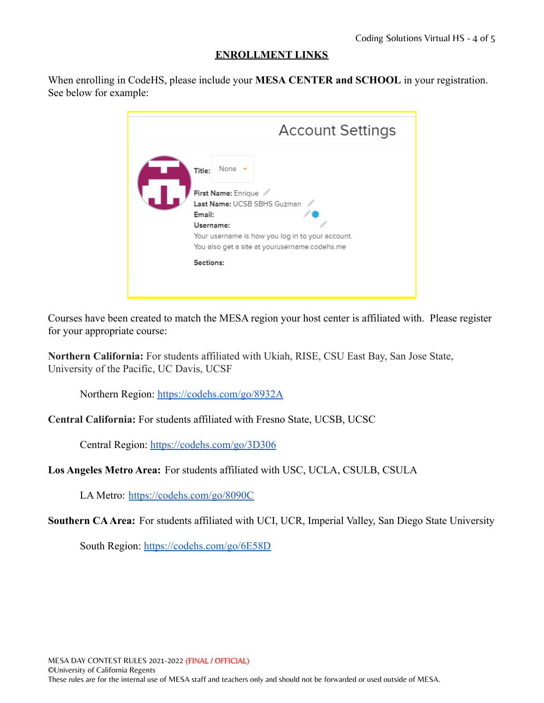## **ENROLLMENT LINKS**

When enrolling in CodeHS, please include your **MESA CENTER and SCHOOL** in your registration. See below for example:

| <b>Account Settings</b>                                                                                                                                                                                        |
|----------------------------------------------------------------------------------------------------------------------------------------------------------------------------------------------------------------|
| None $\rightarrow$<br>Title:<br>First Name: Enrique<br>Last Name: UCSB SBHS Guzman<br>Email:<br>Username:<br>Your username is how you log in to your account.<br>You also get a site at yourusername.codehs.me |
| Sections:                                                                                                                                                                                                      |
|                                                                                                                                                                                                                |

Courses have been created to match the MESA region your host center is affiliated with. Please register for your appropriate course:

**Northern California:** For students affiliated with Ukiah, RISE, CSU East Bay, San Jose State, University of the Pacific, UC Davis, UCSF

Northern Region: <https://codehs.com/go/8932A>

**Central California:** For students affiliated with Fresno State, UCSB, UCSC

Central Region: <https://codehs.com/go/3D306>

**Los Angeles Metro Area:** For students affiliated with USC, UCLA, CSULB, CSULA

LA Metro: <https://codehs.com/go/8090C>

**Southern CAArea:** For students affiliated with UCI, UCR, Imperial Valley, San Diego State University

South Region: <https://codehs.com/go/6E58D>